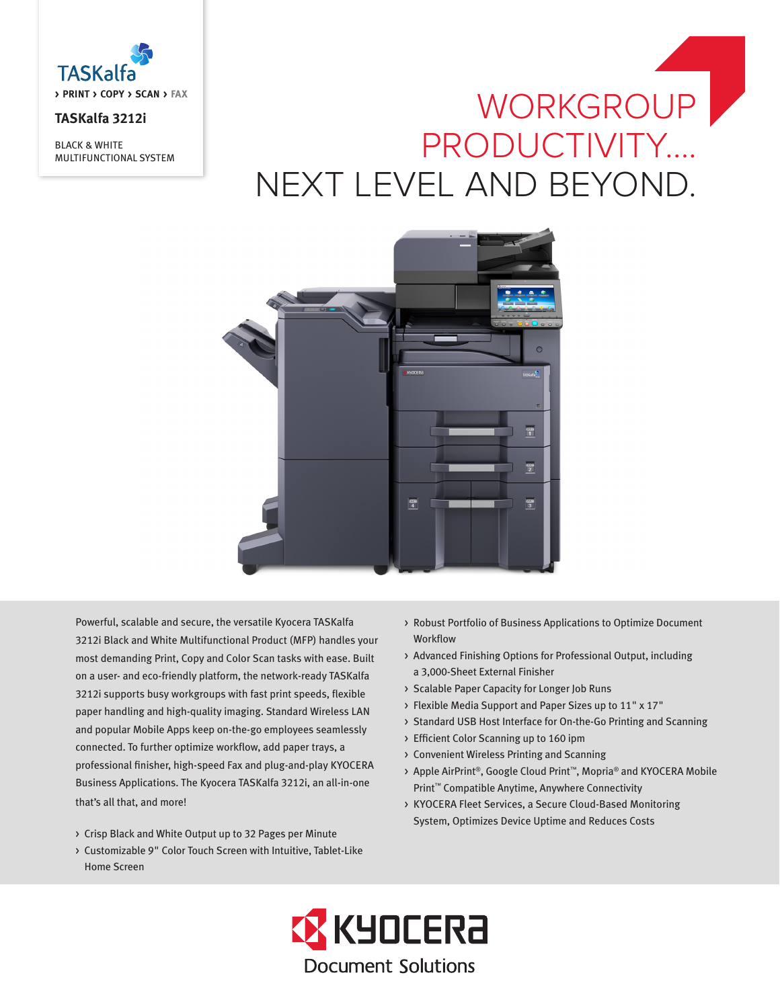

## **TASKalfa 3212i**

BLACK & WHITE MULTIFUNCTIONAL SYSTEM

# WORKGROUP PRODUCTIVITY…. NEXT LEVEL AND BEYOND.



Powerful, scalable and secure, the versatile Kyocera TASKalfa 3212i Black and White Multifunctional Product (MFP) handles your most demanding Print, Copy and Color Scan tasks with ease. Built on a user- and eco-friendly platform, the network-ready TASKalfa 3212i supports busy workgroups with fast print speeds, flexible paper handling and high-quality imaging. Standard Wireless LAN and popular Mobile Apps keep on-the-go employees seamlessly connected. To further optimize workflow, add paper trays, a professional finisher, high-speed Fax and plug-and-play KYOCERA Business Applications. The Kyocera TASKalfa 3212i, an all-in-one that's all that, and more!

- > Crisp Black and White Output up to 32 Pages per Minute
- > Customizable 9" Color Touch Screen with Intuitive, Tablet-Like Home Screen
- > Robust Portfolio of Business Applications to Optimize Document Workflow
- > Advanced Finishing Options for Professional Output, including a 3,000-Sheet External Finisher
- > Scalable Paper Capacity for Longer Job Runs
- > Flexible Media Support and Paper Sizes up to 11" x 17"
- > Standard USB Host Interface for On-the-Go Printing and Scanning
- > Efficient Color Scanning up to 160 ipm
- > Convenient Wireless Printing and Scanning
- > Apple AirPrint®, Google Cloud Print™, Mopria® and KYOCERA Mobile Print™ Compatible Anytime, Anywhere Connectivity
- > KYOCERA Fleet Services, a Secure Cloud-Based Monitoring System, Optimizes Device Uptime and Reduces Costs